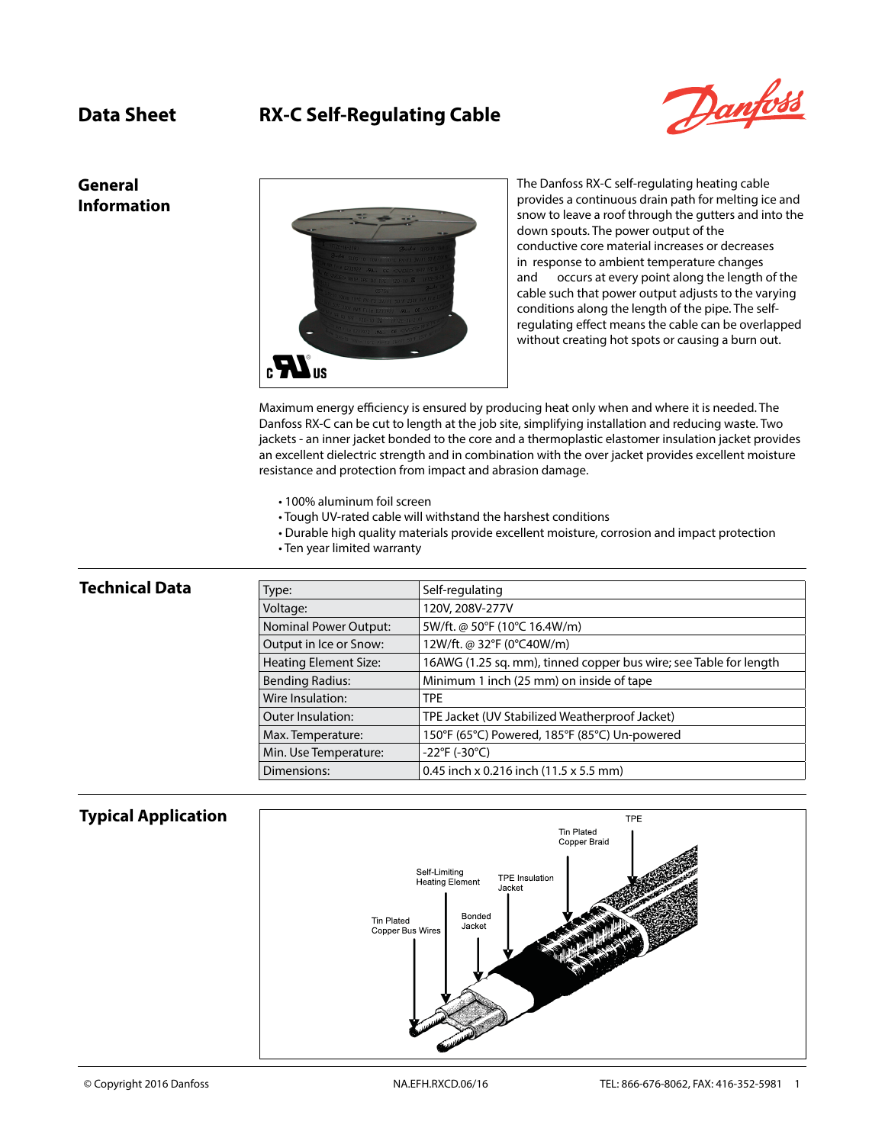# **Data Sheet RX-C Self-Regulating Cable**



**General Information**



The Danfoss RX-C self-regulating heating cable provides a continuous drain path for melting ice and snow to leave a roof through the gutters and into the down spouts. The power output of the conductive core material increases or decreases in response to ambient temperature changes and occurs at every point along the length of the cable such that power output adjusts to the varying conditions along the length of the pipe. The selfregulating effect means the cable can be overlapped without creating hot spots or causing a burn out.

Maximum energy efficiency is ensured by producing heat only when and where it is needed. The Danfoss RX-C can be cut to length at the job site, simplifying installation and reducing waste. Two jackets - an inner jacket bonded to the core and a thermoplastic elastomer insulation jacket provides an excellent dielectric strength and in combination with the over jacket provides excellent moisture resistance and protection from impact and abrasion damage.

- 100% aluminum foil screen
- Tough UV-rated cable will withstand the harshest conditions
- Durable high quality materials provide excellent moisture, corrosion and impact protection
- Ten year limited warranty

## **Technical Data** Type: Self-regulating Voltage: 120V, 208V-277V Nominal Power Output:  $\Big| 5W/\text{ft.} \otimes 50^\circ \text{F}$  (10°C 16.4W/m) Output in Ice or Snow:  $12W/ft$ . @ 32°F (0°C40W/m) Heating Element Size: 16AWG (1.25 sq. mm), tinned copper bus wire; see Table for length Bending Radius: Minimum 1 inch (25 mm) on inside of tape Wire Insulation: TPE Outer Insulation: TPE Jacket (UV Stabilized Weatherproof Jacket) Max. Temperature: 150°F (65°C) Powered, 185°F (85°C) Un-powered Min. Use Temperature:  $\vert$  -22°F (-30°C) Dimensions:  $\vert$  0.45 inch x 0.216 inch (11.5 x 5.5 mm)